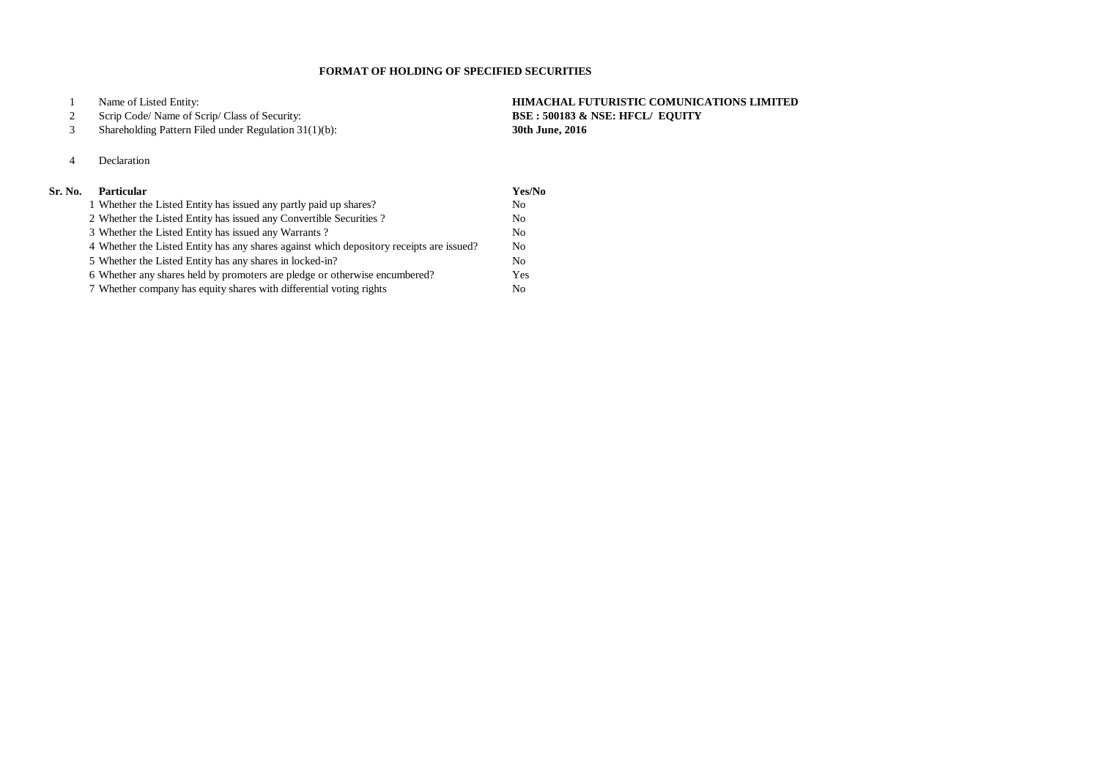Name of Listed Entity: **HIMACHAL FUTURISTIC COMUNICATIONS LIMITED**

#### Scrip Code/ Name of Scrip/ Class of Security: **BSE : 500183 & NSE: HFCL/ EQUITY**

Shareholding Pattern Filed under Regulation 31(1)(b): **30th June, 2016**

## Declaration

### **Sr. No. Particular Yes/No**

| 1 Whether the Listed Entity has issued any partly paid up shares?                        | N <sub>0</sub> |
|------------------------------------------------------------------------------------------|----------------|
| 2 Whether the Listed Entity has issued any Convertible Securities?                       | N <sub>o</sub> |
| 3 Whether the Listed Entity has issued any Warrants?                                     | N <sub>o</sub> |
| 4 Whether the Listed Entity has any shares against which depository receipts are issued? | N <sub>o</sub> |
| 5 Whether the Listed Entity has any shares in locked-in?                                 | N <sub>o</sub> |
| 6 Whether any shares held by promoters are pledge or otherwise encumbered?               | Yes            |
| 7 Whether company has equity shares with differential voting rights                      | No             |

#### **FORMAT OF HOLDING OF SPECIFIED SECURITIES**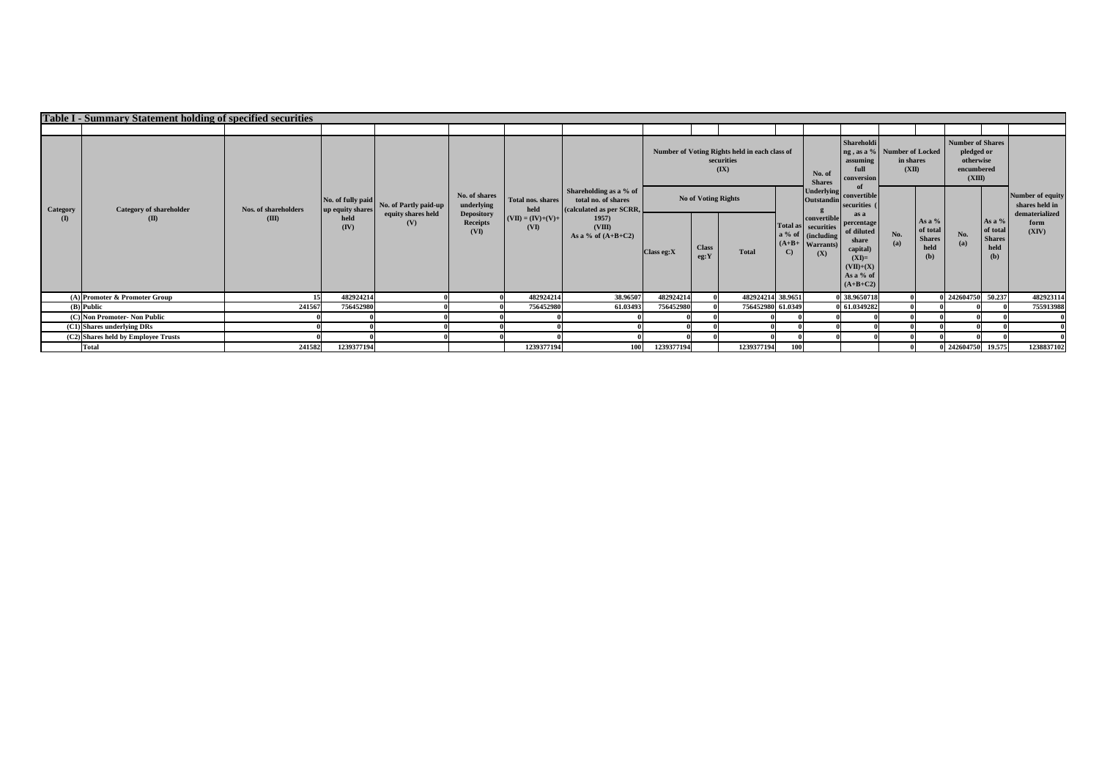|                 | <b>Table I - Summary Statement holding of specified securities</b> |                                      |                                             |                                                    |                                                                             |                                                          |                                                                                                                     |                            |                      |                                                                                |              |                                                                                                          |                                                                                                              |                    |                                                    |                                                                     |                                                    |                                    |
|-----------------|--------------------------------------------------------------------|--------------------------------------|---------------------------------------------|----------------------------------------------------|-----------------------------------------------------------------------------|----------------------------------------------------------|---------------------------------------------------------------------------------------------------------------------|----------------------------|----------------------|--------------------------------------------------------------------------------|--------------|----------------------------------------------------------------------------------------------------------|--------------------------------------------------------------------------------------------------------------|--------------------|----------------------------------------------------|---------------------------------------------------------------------|----------------------------------------------------|------------------------------------|
|                 |                                                                    |                                      |                                             |                                                    |                                                                             |                                                          |                                                                                                                     |                            |                      |                                                                                |              |                                                                                                          |                                                                                                              |                    |                                                    |                                                                     |                                                    |                                    |
|                 |                                                                    |                                      |                                             |                                                    |                                                                             |                                                          |                                                                                                                     |                            |                      | Number of Voting Rights held in each class of<br>securities<br>$(\mathbf{IX})$ |              | No. of<br><b>Shares</b>                                                                                  | <b>Shareholdi</b><br>ng, as a % Number of Locked<br>assuming<br>full<br>conversion                           | in shares<br>(XII) |                                                    | Number of Shares<br>pledged or<br>otherwise<br>encumbered<br>(XIII) |                                                    |                                    |
|                 | <b>Category of shareholder</b><br>$(\mathbf{I})$                   |                                      | No. of fully paid                           | No. of Partly paid-up<br>equity shares held<br>(V) | No. of shares<br>underlying<br><b>Depository</b><br><b>Receipts</b><br>(VI) | Total nos. shares<br>held<br>$(VII) = (IV)+(V)+$<br>(VI) | Shareholding as a % of<br>total no. of shares<br>(calculated as per SCRR,<br>1957<br>(VIII)<br>As a % of $(A+B+C2)$ | <b>No of Voting Rights</b> |                      |                                                                                |              | <b>Underlying</b><br><b>Outstandin</b>                                                                   | convertible<br>securities (                                                                                  |                    |                                                    |                                                                     |                                                    | Number of equity<br>shares held in |
| Category<br>(I) |                                                                    | <b>Nos. of shareholders</b><br>(III) | up equity shares<br>held<br>$(\mathbf{IV})$ |                                                    |                                                                             |                                                          |                                                                                                                     | $\vert$ Class eg:X         | <b>Class</b><br>eg:Y | <b>Total</b>                                                                   | $\mathbf{C}$ | convertible<br>Total as securities<br>$\int$ a % of $\int$ (including $\int$<br>$(A+B+$ Warrants)<br>(X) | as a<br>percentage<br>of diluted<br>share<br>capital)<br>$(XI)=$<br>$(VII)+(X)$<br>As a $%$ of<br>$(A+B+C2)$ | No.<br>(a)         | As a %<br>of total<br><b>Shares</b><br>held<br>(b) | No.<br>(a)                                                          | As a %<br>of total<br><b>Shares</b><br>held<br>(b) | dematerialized<br>form<br>(XIV)    |
|                 | $(A)$ Promoter & Promoter Group                                    |                                      | 482924214                                   |                                                    |                                                                             | 482924214                                                | 38.96507                                                                                                            | 482924214                  |                      | 482924214 38.9651                                                              |              |                                                                                                          | 0 38.9650718                                                                                                 |                    |                                                    | 0 242604750 50.237                                                  |                                                    | 482923114                          |
|                 | $(B)$ Public                                                       | 241567                               | 756452980                                   |                                                    |                                                                             | 756452980                                                | 61.03493                                                                                                            | 756452980                  |                      | 756452980 61.0349                                                              |              |                                                                                                          | 0 61.0349282                                                                                                 |                    |                                                    |                                                                     |                                                    | 755913988                          |
|                 | (C) Non Promoter- Non Public                                       |                                      |                                             |                                                    |                                                                             |                                                          |                                                                                                                     |                            |                      |                                                                                |              |                                                                                                          |                                                                                                              |                    |                                                    |                                                                     |                                                    |                                    |
|                 | $(C1)$ Shares underlying DRs                                       |                                      |                                             |                                                    |                                                                             |                                                          |                                                                                                                     |                            |                      |                                                                                |              |                                                                                                          |                                                                                                              |                    |                                                    |                                                                     |                                                    |                                    |
|                 | $(C2)$ Shares held by Employee Trusts                              |                                      |                                             |                                                    |                                                                             |                                                          |                                                                                                                     |                            |                      |                                                                                |              |                                                                                                          |                                                                                                              |                    |                                                    |                                                                     |                                                    |                                    |
|                 | <b>Total</b>                                                       | 241582                               | 1239377194                                  |                                                    |                                                                             | 1239377194                                               | 100                                                                                                                 | 1239377194                 |                      | 1239377194                                                                     | 100          |                                                                                                          |                                                                                                              |                    |                                                    | 0 242604750 19.575                                                  |                                                    | 1238837102                         |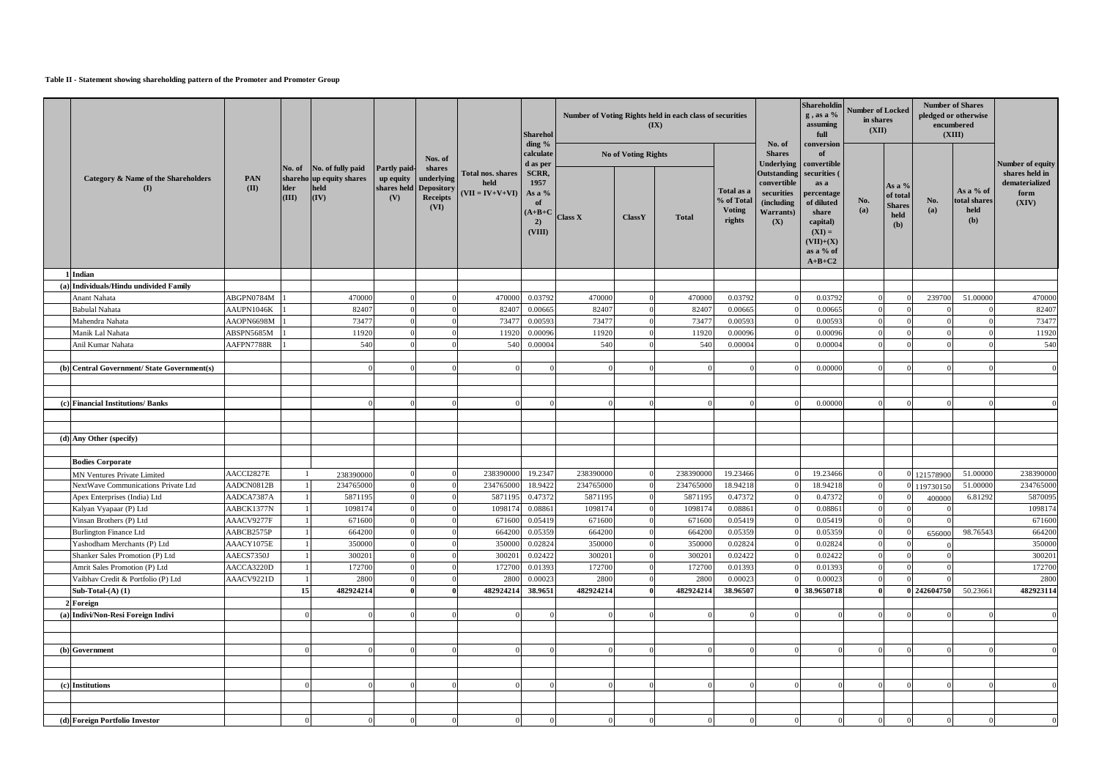#### **Table II - Statement showing shareholding pattern of the Promoter and Promoter Group**

| ding $%$<br>conversion<br>No. of<br><b>No of Voting Rights</b><br><b>Shares</b><br>of<br>calculate<br>Nos. of<br>Underlying   convertible<br>d as per<br>Number of equity<br>No. of No. of fully paid<br>Partly paid-<br>shares<br>shares held in<br>Outstanding securities (<br>Total nos. shares<br>SCRR,<br>up equity   underlying<br><b>Category &amp; Name of the Shareholders</b><br>shareho up equity shares<br><b>PAN</b><br>1957<br>convertible<br>dematerialized<br>held<br>as a<br>As a $%$<br>shares held Depository<br>(II)<br><b>Ider</b><br>held<br>(I)<br>As a % of<br>Total as a<br>$(VII = IV+V+VI)$<br>securities<br>As a %<br>form<br>percentage<br>of total<br>$\vert$ (IV)<br>$\overline{\textbf{(III)}}$<br>Receipts<br>(V)<br>No.<br>No.<br>% of Total<br>total shares<br><i>(including)</i><br>of diluted<br>(XIV)<br><b>of</b><br><b>Shares</b><br>(VI)<br>(a)<br>(a)<br><b>Voting</b><br>held<br>Warrants)<br>share<br>$(A+B+C)$<br>held<br>$\operatorname{Class} X$<br>ClassY<br><b>Total</b><br>rights<br>(b)<br>capital)<br>2)<br>(X)<br>(b)<br>(VIII)<br>$(XI) =$<br>$(VII)+(X)$<br>as a % of<br>$A+B+C2$<br>1 Indian<br>Individuals/Hindu undivided Family<br>(a)<br>ABGPN0784M<br>470000<br>470000<br>0.03792<br>470000<br>470000<br>0.03792<br>0.03792<br>239700<br>Anant Nahata<br>51.00000<br><b>Babulal Nahata</b><br>82407<br>82407<br>0.00665<br>82407<br>0.00665<br>0.00665<br>AAUPN1046K<br>82407<br>73477<br>Mahendra Nahata<br>73477<br>73477<br>0.00593<br>73477<br>0.00593<br>0.00593<br>AAOPN6698M<br>0.00096<br>Manik Lal Nahata<br>ABSPN5685M<br>11920<br>0.00096<br>11920<br>11920<br>0.00096<br>11920<br>Anil Kumar Nahata<br>AAFPN7788R<br>540<br>540<br>0.00004<br>540<br>540<br>0.00004<br>0.00004<br>$(b)$ Central Government/State Government(s)<br>0.00000<br>(c) Financial Institutions/ Banks<br>0.00000<br>(d) Any Other (specify)<br><b>Bodies Corporate</b> |  |
|--------------------------------------------------------------------------------------------------------------------------------------------------------------------------------------------------------------------------------------------------------------------------------------------------------------------------------------------------------------------------------------------------------------------------------------------------------------------------------------------------------------------------------------------------------------------------------------------------------------------------------------------------------------------------------------------------------------------------------------------------------------------------------------------------------------------------------------------------------------------------------------------------------------------------------------------------------------------------------------------------------------------------------------------------------------------------------------------------------------------------------------------------------------------------------------------------------------------------------------------------------------------------------------------------------------------------------------------------------------------------------------------------------------------------------------------------------------------------------------------------------------------------------------------------------------------------------------------------------------------------------------------------------------------------------------------------------------------------------------------------------------------------------------------------------------------------------------------------------------------------------------------------------------------------|--|
|                                                                                                                                                                                                                                                                                                                                                                                                                                                                                                                                                                                                                                                                                                                                                                                                                                                                                                                                                                                                                                                                                                                                                                                                                                                                                                                                                                                                                                                                                                                                                                                                                                                                                                                                                                                                                                                                                                                          |  |
|                                                                                                                                                                                                                                                                                                                                                                                                                                                                                                                                                                                                                                                                                                                                                                                                                                                                                                                                                                                                                                                                                                                                                                                                                                                                                                                                                                                                                                                                                                                                                                                                                                                                                                                                                                                                                                                                                                                          |  |
|                                                                                                                                                                                                                                                                                                                                                                                                                                                                                                                                                                                                                                                                                                                                                                                                                                                                                                                                                                                                                                                                                                                                                                                                                                                                                                                                                                                                                                                                                                                                                                                                                                                                                                                                                                                                                                                                                                                          |  |
|                                                                                                                                                                                                                                                                                                                                                                                                                                                                                                                                                                                                                                                                                                                                                                                                                                                                                                                                                                                                                                                                                                                                                                                                                                                                                                                                                                                                                                                                                                                                                                                                                                                                                                                                                                                                                                                                                                                          |  |
|                                                                                                                                                                                                                                                                                                                                                                                                                                                                                                                                                                                                                                                                                                                                                                                                                                                                                                                                                                                                                                                                                                                                                                                                                                                                                                                                                                                                                                                                                                                                                                                                                                                                                                                                                                                                                                                                                                                          |  |
|                                                                                                                                                                                                                                                                                                                                                                                                                                                                                                                                                                                                                                                                                                                                                                                                                                                                                                                                                                                                                                                                                                                                                                                                                                                                                                                                                                                                                                                                                                                                                                                                                                                                                                                                                                                                                                                                                                                          |  |
|                                                                                                                                                                                                                                                                                                                                                                                                                                                                                                                                                                                                                                                                                                                                                                                                                                                                                                                                                                                                                                                                                                                                                                                                                                                                                                                                                                                                                                                                                                                                                                                                                                                                                                                                                                                                                                                                                                                          |  |
|                                                                                                                                                                                                                                                                                                                                                                                                                                                                                                                                                                                                                                                                                                                                                                                                                                                                                                                                                                                                                                                                                                                                                                                                                                                                                                                                                                                                                                                                                                                                                                                                                                                                                                                                                                                                                                                                                                                          |  |
|                                                                                                                                                                                                                                                                                                                                                                                                                                                                                                                                                                                                                                                                                                                                                                                                                                                                                                                                                                                                                                                                                                                                                                                                                                                                                                                                                                                                                                                                                                                                                                                                                                                                                                                                                                                                                                                                                                                          |  |
|                                                                                                                                                                                                                                                                                                                                                                                                                                                                                                                                                                                                                                                                                                                                                                                                                                                                                                                                                                                                                                                                                                                                                                                                                                                                                                                                                                                                                                                                                                                                                                                                                                                                                                                                                                                                                                                                                                                          |  |
|                                                                                                                                                                                                                                                                                                                                                                                                                                                                                                                                                                                                                                                                                                                                                                                                                                                                                                                                                                                                                                                                                                                                                                                                                                                                                                                                                                                                                                                                                                                                                                                                                                                                                                                                                                                                                                                                                                                          |  |
|                                                                                                                                                                                                                                                                                                                                                                                                                                                                                                                                                                                                                                                                                                                                                                                                                                                                                                                                                                                                                                                                                                                                                                                                                                                                                                                                                                                                                                                                                                                                                                                                                                                                                                                                                                                                                                                                                                                          |  |
|                                                                                                                                                                                                                                                                                                                                                                                                                                                                                                                                                                                                                                                                                                                                                                                                                                                                                                                                                                                                                                                                                                                                                                                                                                                                                                                                                                                                                                                                                                                                                                                                                                                                                                                                                                                                                                                                                                                          |  |
|                                                                                                                                                                                                                                                                                                                                                                                                                                                                                                                                                                                                                                                                                                                                                                                                                                                                                                                                                                                                                                                                                                                                                                                                                                                                                                                                                                                                                                                                                                                                                                                                                                                                                                                                                                                                                                                                                                                          |  |
|                                                                                                                                                                                                                                                                                                                                                                                                                                                                                                                                                                                                                                                                                                                                                                                                                                                                                                                                                                                                                                                                                                                                                                                                                                                                                                                                                                                                                                                                                                                                                                                                                                                                                                                                                                                                                                                                                                                          |  |
|                                                                                                                                                                                                                                                                                                                                                                                                                                                                                                                                                                                                                                                                                                                                                                                                                                                                                                                                                                                                                                                                                                                                                                                                                                                                                                                                                                                                                                                                                                                                                                                                                                                                                                                                                                                                                                                                                                                          |  |
|                                                                                                                                                                                                                                                                                                                                                                                                                                                                                                                                                                                                                                                                                                                                                                                                                                                                                                                                                                                                                                                                                                                                                                                                                                                                                                                                                                                                                                                                                                                                                                                                                                                                                                                                                                                                                                                                                                                          |  |
|                                                                                                                                                                                                                                                                                                                                                                                                                                                                                                                                                                                                                                                                                                                                                                                                                                                                                                                                                                                                                                                                                                                                                                                                                                                                                                                                                                                                                                                                                                                                                                                                                                                                                                                                                                                                                                                                                                                          |  |
| AACCI2827E<br>238390000<br>19.2347<br>238390000<br>19.23466<br>238390000<br>238390000<br>19.23466<br>51.00000<br>121578900<br><b>MN Ventures Private Limited</b><br>238390000                                                                                                                                                                                                                                                                                                                                                                                                                                                                                                                                                                                                                                                                                                                                                                                                                                                                                                                                                                                                                                                                                                                                                                                                                                                                                                                                                                                                                                                                                                                                                                                                                                                                                                                                            |  |
| 234765000<br>18.9422<br>234765000<br>18.94218<br>18.94218<br>AADCN0812B<br>234765000<br>51.00000<br>234765000<br>NextWave Communications Private Ltd<br>234765000<br>0 119730150                                                                                                                                                                                                                                                                                                                                                                                                                                                                                                                                                                                                                                                                                                                                                                                                                                                                                                                                                                                                                                                                                                                                                                                                                                                                                                                                                                                                                                                                                                                                                                                                                                                                                                                                         |  |
| 0.47372<br>Apex Enterprises (India) Ltd<br>AADCA7387A<br>5871195<br>0.47372<br>5871195<br>5871195<br>0.47372<br>6.81292<br>5871195<br>400000                                                                                                                                                                                                                                                                                                                                                                                                                                                                                                                                                                                                                                                                                                                                                                                                                                                                                                                                                                                                                                                                                                                                                                                                                                                                                                                                                                                                                                                                                                                                                                                                                                                                                                                                                                             |  |
| 0.08861<br>0.08861<br>AABCK1377N<br>1098174<br>1098174<br>0.08861<br>1098174<br>Kalyan Vyapaar (P) Ltd<br>1098174                                                                                                                                                                                                                                                                                                                                                                                                                                                                                                                                                                                                                                                                                                                                                                                                                                                                                                                                                                                                                                                                                                                                                                                                                                                                                                                                                                                                                                                                                                                                                                                                                                                                                                                                                                                                        |  |
| 0.05419<br>671600<br>0.05419<br>0.05419<br>Vinsan Brothers (P) Ltd<br>AAACV9277F<br>671600<br>671600<br>671600                                                                                                                                                                                                                                                                                                                                                                                                                                                                                                                                                                                                                                                                                                                                                                                                                                                                                                                                                                                                                                                                                                                                                                                                                                                                                                                                                                                                                                                                                                                                                                                                                                                                                                                                                                                                           |  |
| 664200<br>0.05359<br>AABCB2575P<br>664200<br>0.05359<br>0.05359<br>98.76543<br><b>Burlington Finance Ltd</b><br>664200<br>664200<br>656000                                                                                                                                                                                                                                                                                                                                                                                                                                                                                                                                                                                                                                                                                                                                                                                                                                                                                                                                                                                                                                                                                                                                                                                                                                                                                                                                                                                                                                                                                                                                                                                                                                                                                                                                                                               |  |
| 0.02824<br>0.02824<br>Yashodham Merchants (P) Ltd<br>AAACY1075E<br>350000<br>350000<br>350000<br>350000<br>0.02824                                                                                                                                                                                                                                                                                                                                                                                                                                                                                                                                                                                                                                                                                                                                                                                                                                                                                                                                                                                                                                                                                                                                                                                                                                                                                                                                                                                                                                                                                                                                                                                                                                                                                                                                                                                                       |  |
| Shanker Sales Promotion (P) Ltd<br>AAECS7350J<br>300201<br>300201<br>0.02422<br>300201<br>0.02422<br>0.02422<br>300201                                                                                                                                                                                                                                                                                                                                                                                                                                                                                                                                                                                                                                                                                                                                                                                                                                                                                                                                                                                                                                                                                                                                                                                                                                                                                                                                                                                                                                                                                                                                                                                                                                                                                                                                                                                                   |  |
| AACCA3220D<br>172700<br>172700<br>0.01393<br>172700<br>172700<br>0.01393<br>0.01393<br>Amrit Sales Promotion (P) Ltd                                                                                                                                                                                                                                                                                                                                                                                                                                                                                                                                                                                                                                                                                                                                                                                                                                                                                                                                                                                                                                                                                                                                                                                                                                                                                                                                                                                                                                                                                                                                                                                                                                                                                                                                                                                                     |  |
| 2800<br>AAACV9221D<br>2800<br>2800<br>0.00023<br>2800<br>0.00023<br>0.00023<br>Vaibhav Credit & Portfolio (P) Ltd                                                                                                                                                                                                                                                                                                                                                                                                                                                                                                                                                                                                                                                                                                                                                                                                                                                                                                                                                                                                                                                                                                                                                                                                                                                                                                                                                                                                                                                                                                                                                                                                                                                                                                                                                                                                        |  |
| 0 242604750<br>15<br>482924214<br>482924214<br>482924214<br>38.96507<br>38.9650718<br>50.23661<br>482923114<br>482924214<br>38.9651<br>Sub-Total- $(A)$ $(1)$                                                                                                                                                                                                                                                                                                                                                                                                                                                                                                                                                                                                                                                                                                                                                                                                                                                                                                                                                                                                                                                                                                                                                                                                                                                                                                                                                                                                                                                                                                                                                                                                                                                                                                                                                            |  |
| Foreign                                                                                                                                                                                                                                                                                                                                                                                                                                                                                                                                                                                                                                                                                                                                                                                                                                                                                                                                                                                                                                                                                                                                                                                                                                                                                                                                                                                                                                                                                                                                                                                                                                                                                                                                                                                                                                                                                                                  |  |
| Indivi/Non-Resi Foreign Indivi<br>(a)                                                                                                                                                                                                                                                                                                                                                                                                                                                                                                                                                                                                                                                                                                                                                                                                                                                                                                                                                                                                                                                                                                                                                                                                                                                                                                                                                                                                                                                                                                                                                                                                                                                                                                                                                                                                                                                                                    |  |
|                                                                                                                                                                                                                                                                                                                                                                                                                                                                                                                                                                                                                                                                                                                                                                                                                                                                                                                                                                                                                                                                                                                                                                                                                                                                                                                                                                                                                                                                                                                                                                                                                                                                                                                                                                                                                                                                                                                          |  |
|                                                                                                                                                                                                                                                                                                                                                                                                                                                                                                                                                                                                                                                                                                                                                                                                                                                                                                                                                                                                                                                                                                                                                                                                                                                                                                                                                                                                                                                                                                                                                                                                                                                                                                                                                                                                                                                                                                                          |  |
| (b) Government                                                                                                                                                                                                                                                                                                                                                                                                                                                                                                                                                                                                                                                                                                                                                                                                                                                                                                                                                                                                                                                                                                                                                                                                                                                                                                                                                                                                                                                                                                                                                                                                                                                                                                                                                                                                                                                                                                           |  |
|                                                                                                                                                                                                                                                                                                                                                                                                                                                                                                                                                                                                                                                                                                                                                                                                                                                                                                                                                                                                                                                                                                                                                                                                                                                                                                                                                                                                                                                                                                                                                                                                                                                                                                                                                                                                                                                                                                                          |  |
|                                                                                                                                                                                                                                                                                                                                                                                                                                                                                                                                                                                                                                                                                                                                                                                                                                                                                                                                                                                                                                                                                                                                                                                                                                                                                                                                                                                                                                                                                                                                                                                                                                                                                                                                                                                                                                                                                                                          |  |
| $(c)$ Institutions                                                                                                                                                                                                                                                                                                                                                                                                                                                                                                                                                                                                                                                                                                                                                                                                                                                                                                                                                                                                                                                                                                                                                                                                                                                                                                                                                                                                                                                                                                                                                                                                                                                                                                                                                                                                                                                                                                       |  |
|                                                                                                                                                                                                                                                                                                                                                                                                                                                                                                                                                                                                                                                                                                                                                                                                                                                                                                                                                                                                                                                                                                                                                                                                                                                                                                                                                                                                                                                                                                                                                                                                                                                                                                                                                                                                                                                                                                                          |  |
|                                                                                                                                                                                                                                                                                                                                                                                                                                                                                                                                                                                                                                                                                                                                                                                                                                                                                                                                                                                                                                                                                                                                                                                                                                                                                                                                                                                                                                                                                                                                                                                                                                                                                                                                                                                                                                                                                                                          |  |
| (d) Foreign Portfolio Investor                                                                                                                                                                                                                                                                                                                                                                                                                                                                                                                                                                                                                                                                                                                                                                                                                                                                                                                                                                                                                                                                                                                                                                                                                                                                                                                                                                                                                                                                                                                                                                                                                                                                                                                                                                                                                                                                                           |  |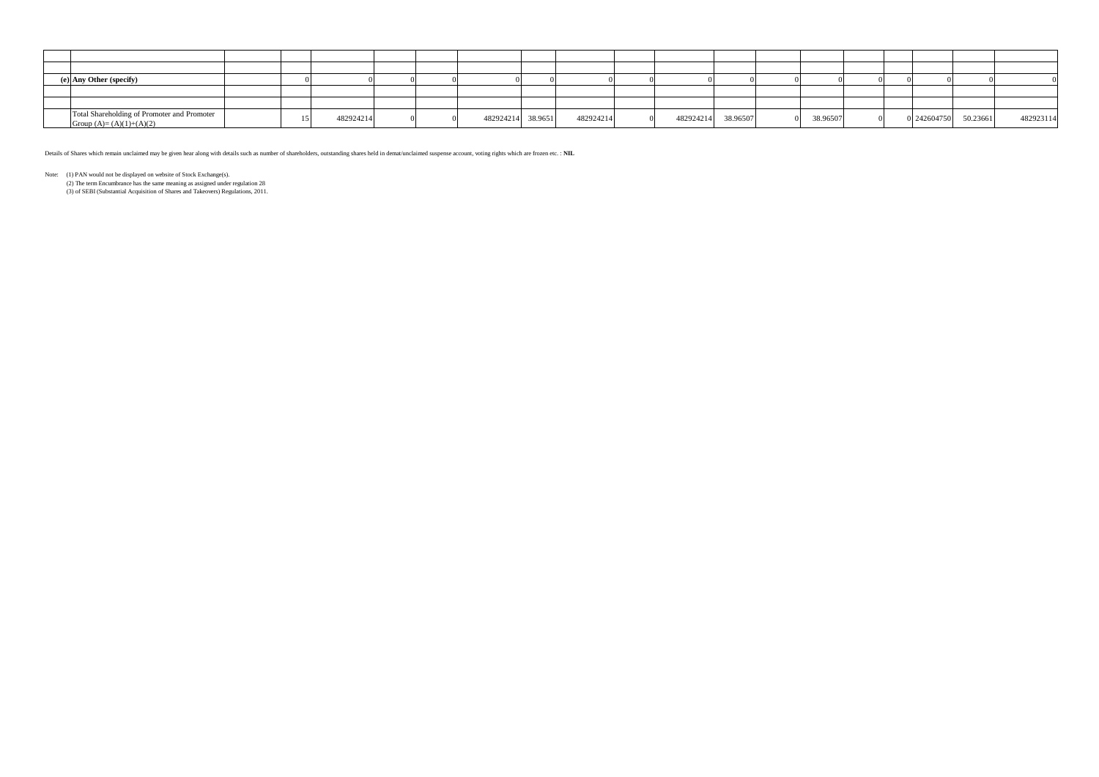| (e) Any Other (specify)                                                  |  |           |                   |           |                       |          |  |                      |           |
|--------------------------------------------------------------------------|--|-----------|-------------------|-----------|-----------------------|----------|--|----------------------|-----------|
|                                                                          |  |           |                   |           |                       |          |  |                      |           |
|                                                                          |  |           |                   |           |                       |          |  |                      |           |
| Total Shareholding of Promoter and Promoter<br>Group $(A)=(A)(1)+(A)(2)$ |  | 482924214 | 482924214 38.9651 | 482924214 | 482924214<br>38.96507 | 38.96507 |  | 0 242604750 50.23661 | 482923114 |

Details of Shares which remain unclaimed may be given hear along with details such as number of shareholders, outstanding shares held in demat/unclaimed suspense account, voting rights which are frozen etc. : **NIL**

Note: (1) PAN would not be displayed on website of Stock Exchange(s).

(2) The term Encumbrance has the same meaning as assigned under regulation 28

(3) of SEBI (Substantial Acquisition of Shares and Takeovers) Regulations, 2011.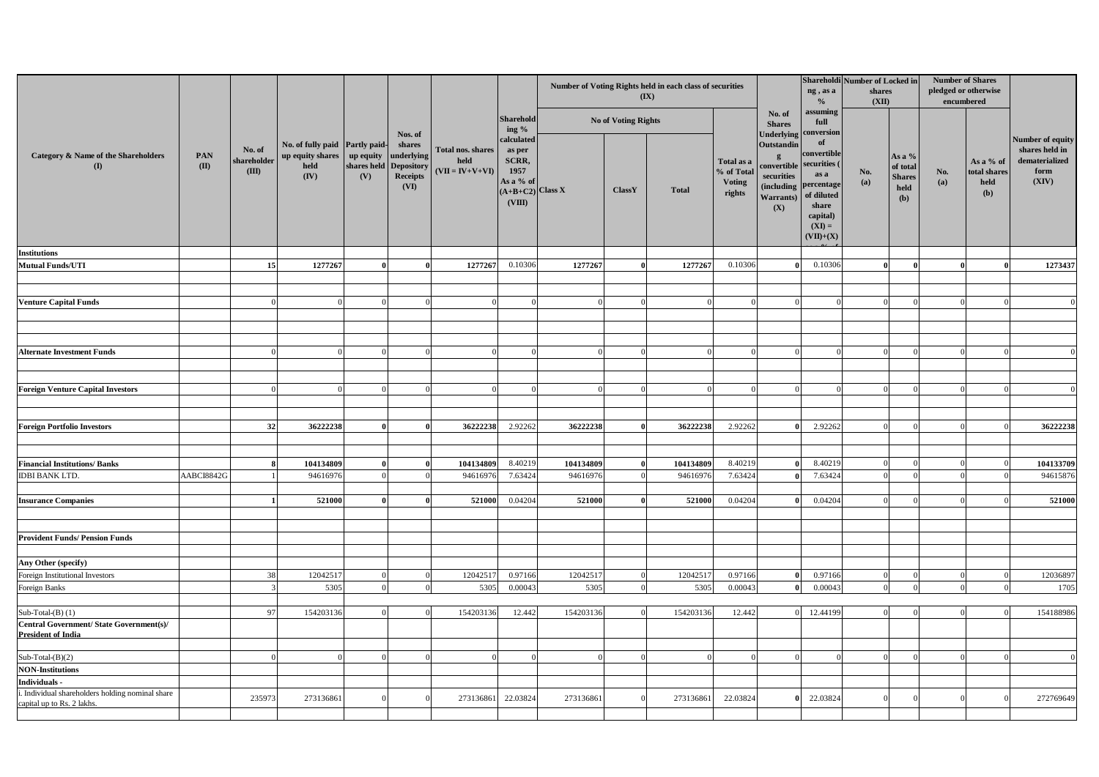|                                                                                |                     |                                |                                                                      |                  |                                                                                        | Total nos. shares<br>held<br>$(VII = IV+V+VI)$ | <b>Sharehold</b><br>ing %                                                          |           | $(\mathbf{I}\mathbf{X})$   | Number of Voting Rights held in each class of securities |                                                     |                                                                                         | ng, as a<br>$\frac{0}{0}$                                                                                                                   | Shareholdi Number of Locked in<br>shares<br>(XII) |                                                      | <b>Number of Shares</b><br>pledged or otherwise<br>encumbered |                                          |                                                                       |
|--------------------------------------------------------------------------------|---------------------|--------------------------------|----------------------------------------------------------------------|------------------|----------------------------------------------------------------------------------------|------------------------------------------------|------------------------------------------------------------------------------------|-----------|----------------------------|----------------------------------------------------------|-----------------------------------------------------|-----------------------------------------------------------------------------------------|---------------------------------------------------------------------------------------------------------------------------------------------|---------------------------------------------------|------------------------------------------------------|---------------------------------------------------------------|------------------------------------------|-----------------------------------------------------------------------|
|                                                                                |                     |                                |                                                                      |                  | Nos. of<br>shares<br>  underlying<br>shares held Depository<br><b>Receipts</b><br>(VI) |                                                |                                                                                    |           | <b>No of Voting Rights</b> |                                                          |                                                     | No. of<br><b>Shares</b>                                                                 | assuming<br>full                                                                                                                            |                                                   |                                                      |                                                               |                                          |                                                                       |
| <b>Category &amp; Name of the Shareholders</b><br>$\mathbf{I}$                 | PAN<br>$\mathbf{I}$ | No. of<br>shareholder<br>(III) | No. of fully paid   Partly paid-<br>up equity shares<br>held<br>(IV) | up equity<br>(V) |                                                                                        |                                                | calculated<br>as per<br>SCRR,<br>1957<br>As a % of<br>$(A+B+C2)$ Class X<br>(VIII) |           | <b>ClassY</b>              | <b>Total</b>                                             | Total as a<br>% of Total<br><b>Voting</b><br>rights | <b>Outstandin</b><br>convertible securities (<br>securities<br><b>Warrants</b> )<br>(X) | Underlying conversion<br>- of<br>convertible<br>as a<br>(including percentage<br>of diluted<br>share<br>capital)<br>$(XI) =$<br>$(VII)+(X)$ | No.<br>(a)                                        | As a $%$<br>of total<br><b>Shares</b><br>held<br>(b) | No.<br>(a)                                                    | As a % of<br>total shares<br>held<br>(b) | Number of equity<br>shares held in<br>dematerialized<br>form<br>(XIV) |
| <b>Institutions</b>                                                            |                     |                                |                                                                      |                  |                                                                                        |                                                |                                                                                    |           |                            |                                                          |                                                     |                                                                                         |                                                                                                                                             |                                                   |                                                      |                                                               |                                          |                                                                       |
| Mutual Funds/UTI                                                               |                     | 15                             | 1277267                                                              |                  |                                                                                        | 1277267                                        | 0.10306                                                                            | 1277267   |                            | 1277267                                                  | 0.10306                                             |                                                                                         | 0.10306                                                                                                                                     |                                                   |                                                      |                                                               |                                          | 1273437                                                               |
|                                                                                |                     |                                |                                                                      |                  |                                                                                        |                                                |                                                                                    |           |                            |                                                          |                                                     |                                                                                         |                                                                                                                                             |                                                   |                                                      |                                                               |                                          |                                                                       |
| <b>Venture Capital Funds</b>                                                   |                     |                                |                                                                      |                  |                                                                                        |                                                |                                                                                    |           |                            |                                                          |                                                     |                                                                                         |                                                                                                                                             |                                                   |                                                      |                                                               |                                          |                                                                       |
|                                                                                |                     |                                |                                                                      |                  |                                                                                        |                                                |                                                                                    |           |                            |                                                          |                                                     |                                                                                         |                                                                                                                                             |                                                   |                                                      |                                                               |                                          |                                                                       |
|                                                                                |                     |                                |                                                                      |                  |                                                                                        |                                                |                                                                                    |           |                            |                                                          |                                                     |                                                                                         |                                                                                                                                             |                                                   |                                                      |                                                               |                                          |                                                                       |
|                                                                                |                     |                                |                                                                      |                  |                                                                                        |                                                |                                                                                    |           |                            |                                                          |                                                     |                                                                                         |                                                                                                                                             |                                                   |                                                      |                                                               |                                          |                                                                       |
| <b>Alternate Investment Funds</b>                                              |                     |                                |                                                                      |                  |                                                                                        |                                                |                                                                                    |           |                            |                                                          |                                                     |                                                                                         |                                                                                                                                             |                                                   |                                                      |                                                               |                                          |                                                                       |
|                                                                                |                     |                                |                                                                      |                  |                                                                                        |                                                |                                                                                    |           |                            |                                                          |                                                     |                                                                                         |                                                                                                                                             |                                                   |                                                      |                                                               |                                          |                                                                       |
|                                                                                |                     |                                |                                                                      |                  |                                                                                        |                                                |                                                                                    |           |                            |                                                          |                                                     |                                                                                         |                                                                                                                                             |                                                   |                                                      |                                                               |                                          |                                                                       |
| <b>Foreign Venture Capital Investors</b>                                       |                     |                                |                                                                      |                  |                                                                                        |                                                |                                                                                    |           |                            |                                                          |                                                     |                                                                                         |                                                                                                                                             |                                                   |                                                      |                                                               |                                          |                                                                       |
|                                                                                |                     |                                |                                                                      |                  |                                                                                        |                                                |                                                                                    |           |                            |                                                          |                                                     |                                                                                         |                                                                                                                                             |                                                   |                                                      |                                                               |                                          |                                                                       |
|                                                                                |                     |                                |                                                                      |                  |                                                                                        |                                                |                                                                                    |           |                            |                                                          |                                                     |                                                                                         |                                                                                                                                             |                                                   |                                                      |                                                               |                                          |                                                                       |
| <b>Foreign Portfolio Investors</b>                                             |                     | 32                             | 36222238                                                             |                  |                                                                                        | 36222238                                       | 2.92262                                                                            | 36222238  |                            | 36222238                                                 | 2.92262                                             |                                                                                         | 2.92262                                                                                                                                     |                                                   |                                                      |                                                               |                                          | 36222238                                                              |
|                                                                                |                     |                                |                                                                      |                  |                                                                                        |                                                |                                                                                    |           |                            |                                                          |                                                     |                                                                                         |                                                                                                                                             |                                                   |                                                      |                                                               |                                          |                                                                       |
|                                                                                |                     |                                |                                                                      |                  |                                                                                        |                                                |                                                                                    |           |                            |                                                          |                                                     |                                                                                         |                                                                                                                                             |                                                   |                                                      |                                                               |                                          |                                                                       |
| <b>Financial Institutions/Banks</b>                                            |                     |                                | 104134809                                                            |                  |                                                                                        | 104134809                                      | 8.40219                                                                            | 104134809 | $\Omega$                   | 104134809                                                | 8.40219                                             |                                                                                         | 8.40219                                                                                                                                     |                                                   |                                                      |                                                               |                                          | 104133709                                                             |
| <b>IDBI BANK LTD.</b>                                                          | AABCI8842G          |                                | 94616976                                                             |                  |                                                                                        | 94616976                                       | 7.63424                                                                            | 94616976  |                            | 94616976                                                 | 7.63424                                             |                                                                                         | 7.63424                                                                                                                                     |                                                   |                                                      |                                                               |                                          | 94615876                                                              |
|                                                                                |                     |                                | 521000                                                               |                  |                                                                                        | 521000                                         | 0.04204                                                                            | 521000    |                            | 521000                                                   | 0.04204                                             |                                                                                         | 0.04204                                                                                                                                     |                                                   |                                                      |                                                               |                                          | 521000                                                                |
| <b>Insurance Companies</b>                                                     |                     |                                |                                                                      |                  |                                                                                        |                                                |                                                                                    |           |                            |                                                          |                                                     |                                                                                         |                                                                                                                                             |                                                   |                                                      |                                                               |                                          |                                                                       |
|                                                                                |                     |                                |                                                                      |                  |                                                                                        |                                                |                                                                                    |           |                            |                                                          |                                                     |                                                                                         |                                                                                                                                             |                                                   |                                                      |                                                               |                                          |                                                                       |
| <b>Provident Funds/Pension Funds</b>                                           |                     |                                |                                                                      |                  |                                                                                        |                                                |                                                                                    |           |                            |                                                          |                                                     |                                                                                         |                                                                                                                                             |                                                   |                                                      |                                                               |                                          |                                                                       |
|                                                                                |                     |                                |                                                                      |                  |                                                                                        |                                                |                                                                                    |           |                            |                                                          |                                                     |                                                                                         |                                                                                                                                             |                                                   |                                                      |                                                               |                                          |                                                                       |
| Any Other (specify)                                                            |                     |                                |                                                                      |                  |                                                                                        |                                                |                                                                                    |           |                            |                                                          |                                                     |                                                                                         |                                                                                                                                             |                                                   |                                                      |                                                               |                                          |                                                                       |
| Foreign Institutional Investors                                                |                     | 38                             | 12042517                                                             |                  |                                                                                        | 12042517                                       | 0.97166                                                                            | 12042517  |                            | 1204251                                                  | 0.97166                                             |                                                                                         | 0.97166                                                                                                                                     |                                                   |                                                      |                                                               |                                          | 12036897                                                              |
| Foreign Banks                                                                  |                     |                                | 5305                                                                 |                  |                                                                                        | 5305                                           | 0.00043                                                                            | 5305      |                            | 5305                                                     | 0.00043                                             |                                                                                         | 0.00043                                                                                                                                     |                                                   |                                                      |                                                               |                                          | 1705                                                                  |
|                                                                                |                     |                                |                                                                      |                  |                                                                                        |                                                |                                                                                    |           |                            |                                                          |                                                     |                                                                                         |                                                                                                                                             |                                                   |                                                      |                                                               |                                          |                                                                       |
| Sub-Total- $(B)$ (1)                                                           |                     | 97                             | 154203136                                                            |                  |                                                                                        | 154203136                                      | 12.442                                                                             | 154203136 |                            | 154203136                                                | 12.442                                              |                                                                                         | 12.44199                                                                                                                                    |                                                   |                                                      |                                                               |                                          | 154188986                                                             |
| Central Government/State Government(s)/<br><b>President of India</b>           |                     |                                |                                                                      |                  |                                                                                        |                                                |                                                                                    |           |                            |                                                          |                                                     |                                                                                         |                                                                                                                                             |                                                   |                                                      |                                                               |                                          |                                                                       |
|                                                                                |                     |                                |                                                                      |                  |                                                                                        |                                                |                                                                                    |           |                            |                                                          |                                                     |                                                                                         |                                                                                                                                             |                                                   |                                                      |                                                               |                                          |                                                                       |
| Sub-Total- $(B)(2)$                                                            |                     |                                |                                                                      |                  |                                                                                        |                                                |                                                                                    |           |                            |                                                          |                                                     |                                                                                         |                                                                                                                                             |                                                   |                                                      |                                                               |                                          |                                                                       |
| <b>NON-Institutions</b>                                                        |                     |                                |                                                                      |                  |                                                                                        |                                                |                                                                                    |           |                            |                                                          |                                                     |                                                                                         |                                                                                                                                             |                                                   |                                                      |                                                               |                                          |                                                                       |
| Individuals -                                                                  |                     |                                |                                                                      |                  |                                                                                        |                                                |                                                                                    |           |                            |                                                          |                                                     |                                                                                         |                                                                                                                                             |                                                   |                                                      |                                                               |                                          |                                                                       |
| i. Individual shareholders holding nominal share<br>capital up to Rs. 2 lakhs. |                     | 235973                         | 273136861                                                            |                  |                                                                                        | 273136861                                      | 22.03824                                                                           | 273136861 |                            | 273136861                                                | 22.03824                                            |                                                                                         | 22.03824                                                                                                                                    |                                                   |                                                      |                                                               |                                          | 272769649                                                             |
|                                                                                |                     |                                |                                                                      |                  |                                                                                        |                                                |                                                                                    |           |                            |                                                          |                                                     |                                                                                         |                                                                                                                                             |                                                   |                                                      |                                                               |                                          |                                                                       |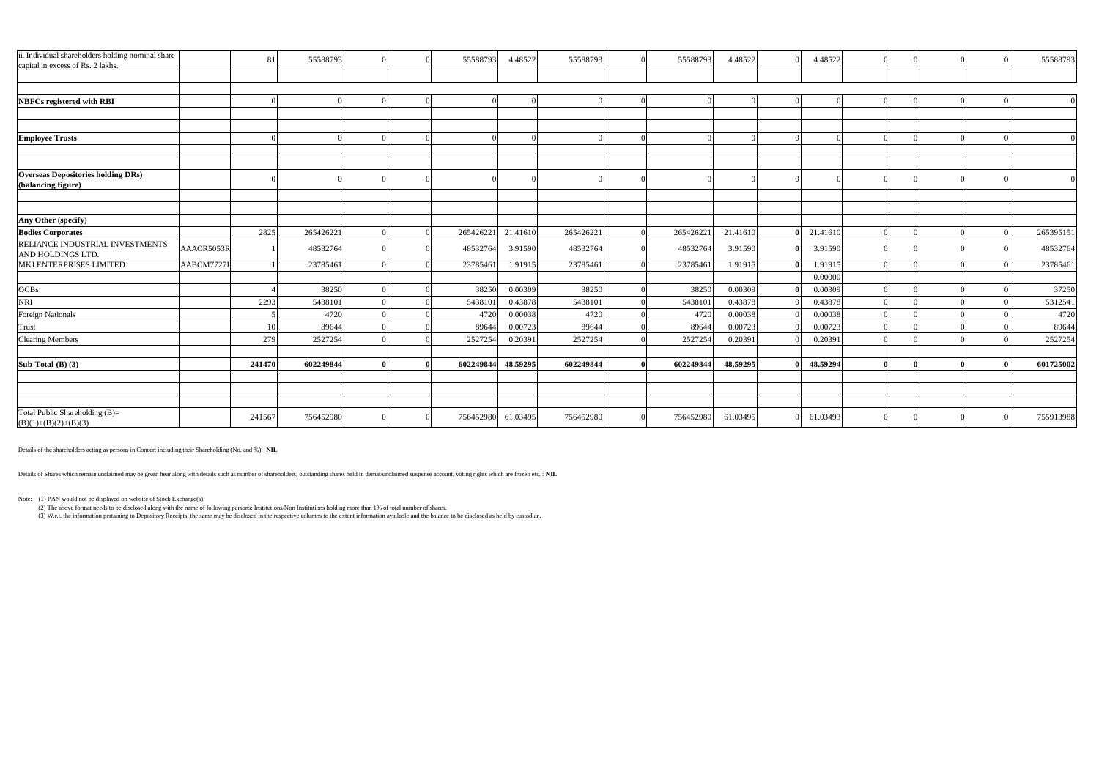| ii. Individual shareholders holding nominal share<br>capital in excess of Rs. 2 lakhs. | 81         | 55588793  |  | 55588793  | 4.48522  | 55588793  | 55588793  | 4.48522  | 4.48522  |  | 55588793  |
|----------------------------------------------------------------------------------------|------------|-----------|--|-----------|----------|-----------|-----------|----------|----------|--|-----------|
|                                                                                        |            |           |  |           |          |           |           |          |          |  |           |
|                                                                                        |            |           |  |           |          |           |           |          |          |  |           |
| <b>NBFCs registered with RBI</b>                                                       |            |           |  |           |          |           |           |          |          |  |           |
|                                                                                        |            |           |  |           |          |           |           |          |          |  |           |
| <b>Employee Trusts</b>                                                                 |            |           |  |           |          |           |           |          |          |  |           |
|                                                                                        |            |           |  |           |          |           |           |          |          |  |           |
| <b>Overseas Depositories holding DRs)</b>                                              |            |           |  |           |          |           |           |          |          |  |           |
| (balancing figure)                                                                     |            |           |  |           |          |           |           |          |          |  |           |
|                                                                                        |            |           |  |           |          |           |           |          |          |  |           |
| Any Other (specify)                                                                    |            |           |  |           |          |           |           |          |          |  |           |
| <b>Bodies Corporates</b>                                                               | 2825       | 265426221 |  | 265426221 | 21.41610 | 265426221 | 265426221 | 21.4161  | 21.4161  |  | 265395151 |
| RELIANCE INDUSTRIAL INVESTMENTS<br>AND HOLDINGS LTD.                                   | AAACR5053R | 48532764  |  | 48532764  | 3.91590  | 48532764  | 48532764  | 3.91590  | 3.91590  |  | 48532764  |
| MKJ ENTERPRISES LIMITED                                                                | AABCM7727I | 23785461  |  | 23785461  | 1.91915  | 23785461  | 23785461  | 1.9191:  | 1.91915  |  | 23785461  |
|                                                                                        |            |           |  |           |          |           |           |          | 0.00000  |  |           |
| <b>OCBs</b>                                                                            |            | 38250     |  | 38250     | 0.00309  | 38250     | 38250     | 0.00309  | 0.00309  |  | 37250     |
| <b>NRI</b>                                                                             | 2293       | 5438101   |  | 5438101   | 0.43878  | 5438101   | 5438101   | 0.43878  | 0.43878  |  | 5312541   |
| Foreign Nationals                                                                      |            | 4720      |  | 4720      | 0.00038  | 4720      | 4720      | 0.00038  | 0.0003   |  | 4720      |
| Trust                                                                                  |            | 89644     |  | 89644     | 0.00723  | 89644     | 89644     | 0.00723  | 0.00723  |  | 89644     |
| <b>Clearing Members</b>                                                                | 279        | 2527254   |  | 2527254   | 0.20391  | 2527254   | 2527254   | 0.20391  | 0.20391  |  | 2527254   |
| Sub-Total- $(B)$ $(3)$                                                                 | 241470     | 602249844 |  | 602249844 | 48.59295 | 602249844 | 602249844 | 48.59295 | 48.59294 |  | 601725002 |
|                                                                                        |            |           |  |           |          |           |           |          |          |  |           |
|                                                                                        |            |           |  |           |          |           |           |          |          |  |           |
| Total Public Shareholding (B)=<br>$(B)(1)+(B)(2)+(B)(3)$                               | 241567     | 756452980 |  | 756452980 | 61.03495 | 756452980 | 756452980 | 61.03495 | 61.03493 |  | 755913988 |

Details of the shareholders acting as persons in Concert including their Shareholding (No. and %): **NIL**

Details of Shares which remain unclaimed may be given hear along with details such as number of shareholders, outstanding shares held in demat/unclaimed suspense account, voting rights which are frozen etc. : **NIL**

Note: (1) PAN would not be displayed on website of Stock Exchange(s).

(2) The above format needs to be disclosed along with the name of following persons: Institutions/Non Institutions holding more than 1% of total number of shares.

(3) W.r.t. the information pertaining to Depository Receipts, the same may be disclosed in the respective columns to the extent information available and the balance to be disclosed as held by custodian,